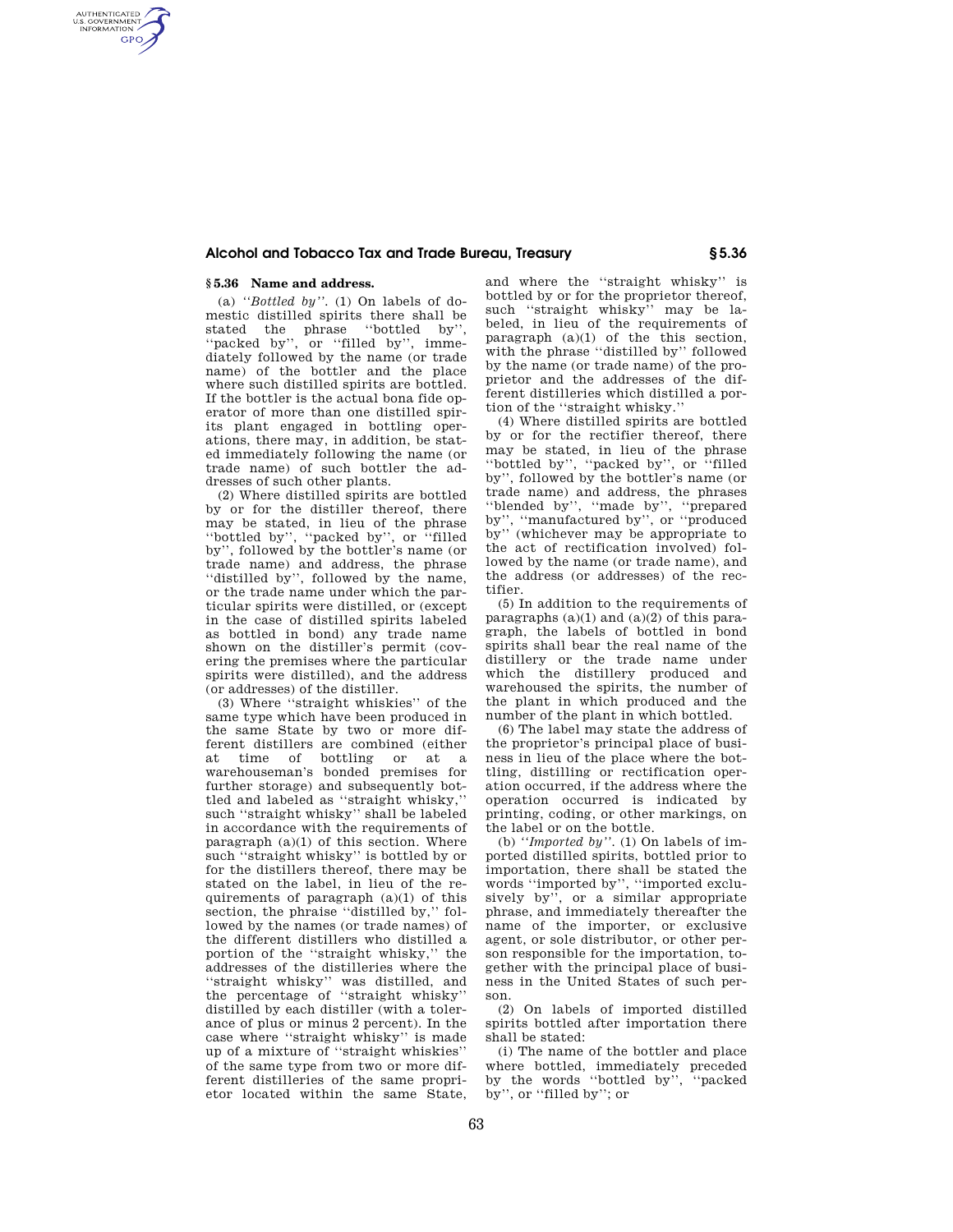## **Alcohol and Tobacco Tax and Trade Bureau, Treasury § 5.36**

## **§ 5.36 Name and address.**

AUTHENTICATED<br>U.S. GOVERNMENT<br>INFORMATION **GPO** 

> (a) *''Bottled by''.* (1) On labels of domestic distilled spirits there shall be stated the phrase ''bottled by'', ''packed by'', or ''filled by'', immediately followed by the name (or trade name) of the bottler and the place where such distilled spirits are bottled. If the bottler is the actual bona fide operator of more than one distilled spirits plant engaged in bottling operations, there may, in addition, be stated immediately following the name (or trade name) of such bottler the addresses of such other plants.

> (2) Where distilled spirits are bottled by or for the distiller thereof, there may be stated, in lieu of the phrase ''bottled by'', ''packed by'', or ''filled by'', followed by the bottler's name (or trade name) and address, the phrase ''distilled by'', followed by the name, or the trade name under which the particular spirits were distilled, or (except in the case of distilled spirits labeled as bottled in bond) any trade name shown on the distiller's permit (covering the premises where the particular spirits were distilled), and the address (or addresses) of the distiller.

> (3) Where ''straight whiskies'' of the same type which have been produced in the same State by two or more different distillers are combined (either at time of bottling or at a warehouseman's bonded premises for further storage) and subsequently bottled and labeled as ''straight whisky,'' such ''straight whisky'' shall be labeled in accordance with the requirements of paragraph  $(a)(1)$  of this section. Where such "straight whisky" is bottled by or for the distillers thereof, there may be stated on the label, in lieu of the requirements of paragraph (a)(1) of this section, the phraise ''distilled by,'' followed by the names (or trade names) of the different distillers who distilled a portion of the ''straight whisky,'' the addresses of the distilleries where the ''straight whisky'' was distilled, and the percentage of ''straight whisky'' distilled by each distiller (with a tolerance of plus or minus 2 percent). In the case where ''straight whisky'' is made up of a mixture of ''straight whiskies'' of the same type from two or more different distilleries of the same proprietor located within the same State,

and where the ''straight whisky'' is bottled by or for the proprietor thereof, such "straight whisky" may be labeled, in lieu of the requirements of paragraph (a)(1) of the this section, with the phrase "distilled by" followed by the name (or trade name) of the proprietor and the addresses of the different distilleries which distilled a portion of the ''straight whisky.''

(4) Where distilled spirits are bottled by or for the rectifier thereof, there may be stated, in lieu of the phrase ''bottled by'', ''packed by'', or ''filled by'', followed by the bottler's name (or trade name) and address, the phrases ''blended by'', ''made by'', ''prepared by'', ''manufactured by'', or ''produced by'' (whichever may be appropriate to the act of rectification involved) followed by the name (or trade name), and the address (or addresses) of the rectifier.

(5) In addition to the requirements of paragraphs  $(a)(1)$  and  $(a)(2)$  of this paragraph, the labels of bottled in bond spirits shall bear the real name of the distillery or the trade name under which the distillery produced and warehoused the spirits, the number of the plant in which produced and the number of the plant in which bottled.

(6) The label may state the address of the proprietor's principal place of business in lieu of the place where the bottling, distilling or rectification operation occurred, if the address where the operation occurred is indicated by printing, coding, or other markings, on the label or on the bottle.

(b) *''Imported by''.* (1) On labels of imported distilled spirits, bottled prior to importation, there shall be stated the words ''imported by'', ''imported exclusively by'', or a similar appropriate phrase, and immediately thereafter the name of the importer, or exclusive agent, or sole distributor, or other person responsible for the importation, together with the principal place of business in the United States of such person.

(2) On labels of imported distilled spirits bottled after importation there shall be stated:

(i) The name of the bottler and place where bottled, immediately preceded by the words ''bottled by'', ''packed by'', or ''filled by''; or